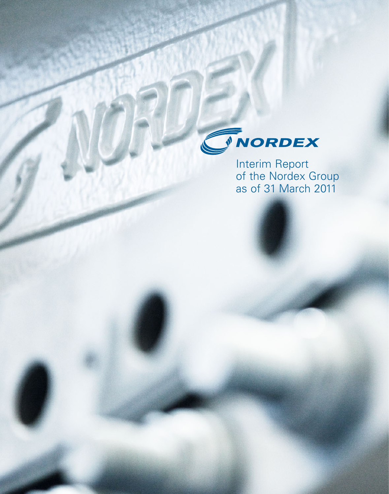

Interim Report of the Nordex Group as of 31 March 2011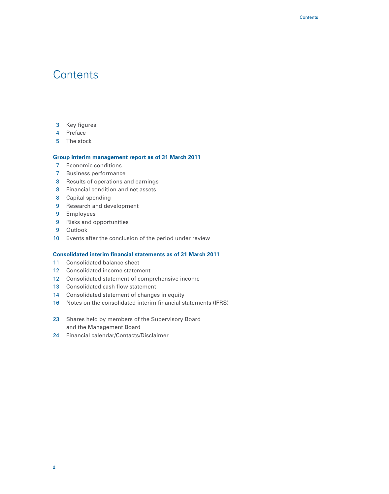### **Contents**

- 3 Key figures
- 4 Preface
- 5 The stock

#### **Group interim management report as of 31 March 2011**

- 7 Economic conditions
- 7 Business performance
- 8 Results of operations and earnings
- 8 Financial condition and net assets
- 8 Capital spending
- 9 Research and development
- 9 Employees
- 9 Risks and opportunities
- 9 Outlook
- 10 Events after the conclusion of the period under review

#### **Consolidated interim financial statements as of 31 March 2011**

- 11 Consolidated balance sheet
- 12 Consolidated income statement
- 12 Consolidated statement of comprehensive income
- 13 Consolidated cash flow statement
- 14 Consolidated statement of changes in equity
- 16 Notes on the consolidated interim financial statements (IFRS)
- 23 Shares held by members of the Supervisory Board and the Management Board
- 24 Financial calendar/Contacts/Disclaimer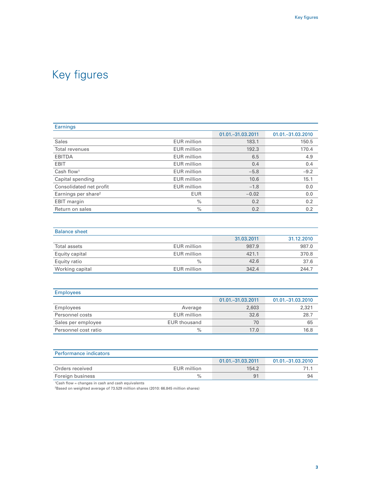| Earnings                        |                    |                     |                     |
|---------------------------------|--------------------|---------------------|---------------------|
|                                 |                    | 01.01. - 31.03.2011 | 01.01. - 31.03.2010 |
| <b>Sales</b>                    | <b>EUR</b> million | 183.1               | 150.5               |
| Total revenues                  | <b>EUR</b> million | 192.3               | 170.4               |
| <b>EBITDA</b>                   | <b>EUR</b> million | 6.5                 | 4.9                 |
| <b>EBIT</b>                     | <b>EUR</b> million | 0.4                 | 0.4                 |
| Cash flow <sup>1</sup>          | <b>EUR</b> million | $-5.8$              | $-9.2$              |
| Capital spending                | <b>EUR</b> million | 10.6                | 15.1                |
| Consolidated net profit         | <b>EUR</b> million | $-1.8$              | 0.0                 |
| Earnings per share <sup>2</sup> | <b>EUR</b>         | $-0.02$             | 0.0                 |
| <b>EBIT</b> margin              | $\%$               | 0.2                 | 0.2                 |
| Return on sales                 | $\frac{0}{0}$      | 0.2                 | 0.2                 |

| <b>Balance sheet</b> |                    |            |            |
|----------------------|--------------------|------------|------------|
|                      |                    | 31.03.2011 | 31.12.2010 |
| Total assets         | <b>EUR</b> million | 987.9      | 987.0      |
| Equity capital       | EUR million        | 421.1      | 370.8      |
| Equity ratio         | $\frac{0}{0}$      | 42.6       | 37.6       |
| Working capital      | EUR million        | 342.4      | 244.7      |

| <b>Employees</b>     |                     |                     |                     |
|----------------------|---------------------|---------------------|---------------------|
|                      |                     | 01.01. - 31.03.2011 | 01.01. - 31.03.2010 |
| Employees            | Average             | 2,603               | 2,321               |
| Personnel costs      | EUR million         | 32.6                | 28.7                |
| Sales per employee   | <b>EUR thousand</b> | 70                  | 65                  |
| Personnel cost ratio | $\%$                | 17.0                | 16.8                |

| <b>Performance indicators</b> |             |                     |                     |
|-------------------------------|-------------|---------------------|---------------------|
|                               |             | 01.01. - 31.03.2011 | 01.01. - 31.03.2010 |
| Orders received               | EUR million | 154.2               |                     |
| Foreign business              | $\%$        | 9 <sup>1</sup>      | 94                  |

1Cash flow = changes in cash and cash equivalents

2Based on weighted average of 73.529 million shares (2010: 66.845 million shares)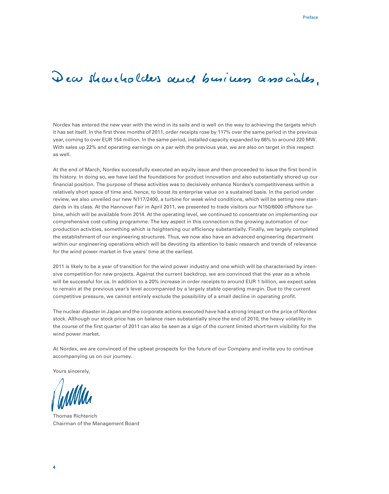# Dear shareholders and business associates.

Nordex has entered the new year with the wind in its sails and is well on the way to achieving the targets which it has set itself. In the first three months of 2011, order receipts rose by 117% over the same period in the previous year, coming to over EUR 154 million. In the same period, installed capacity expanded by 66% to around 220 MW. With sales up 22% and operating earnings on a par with the previous year, we are also on target in this respect as well.

At the end of March, Nordex successfully executed an equity issue and then proceeded to issue the first bond in its history. In doing so, we have laid the foundations for product innovation and also substantially shored up our financial position. The purpose of these activities was to decisively enhance Nordex's competitiveness within a relatively short space of time and, hence, to boost its enterprise value on a sustained basis. In the period under review, we also unveiled our new N117/2400, a turbine for weak wind conditions, which will be setting new standards in its class. At the Hannover Fair in April 2011, we presented to trade visitors our N150/6000 offshore turbine, which will be available from 2014. At the operating level, we continued to concentrate on implementing our comprehensive cost-cutting programme. The key aspect in this connection is the growing automation of our production activities, something which is heightening our efficiency substantially. Finally, we largely completed the establishment of our engineering structures. Thus, we now also have an advanced engineering department within our engineering operations which will be devoting its attention to basic research and trends of relevance for the wind power market in five years' time at the earliest.

2011 is likely to be a year of transition for the wind power industry and one which will be characterised by intensive competition for new projects. Against the current backdrop, we are convinced that the year as a whole will be successful for us. In addition to a 20% increase in order receipts to around EUR 1 billion, we expect sales to remain at the previous year's level accompanied by a largely stable operating margin. Due to the current competitive pressure, we cannot entirely exclude the possibility of a small decline in operating profit.

The nuclear disaster in Japan and the corporate actions executed have had a strong impact on the price of Nordex stock. Although our stock price has on balance risen substantially since the end of 2010, the heavy volatility in the course of the first quarter of 2011 can also be seen as a sign of the current limited short-term visibility for the wind power market.

At Nordex, we are convinced of the upbeat prospects for the future of our Company and invite you to continue accompanying us on our journey.

Yours sincerely,

Thomas Richterich Chairman of the Management Board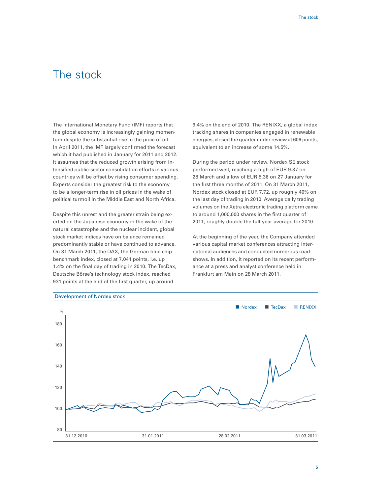### The stock

The International Monetary Fund (IMF) reports that the global economy is increasingly gaining momentum despite the substantial rise in the price of oil. In April 2011, the IMF largely confirmed the forecast which it had published in January for 2011 and 2012. It assumes that the reduced growth arising from intensified public-sector consolidation efforts in various countries will be offset by rising consumer spending. Experts consider the greatest risk to the economy to be a longer-term rise in oil prices in the wake of political turmoil in the Middle East and North Africa.

Despite this unrest and the greater strain being exerted on the Japanese economy in the wake of the natural catastrophe and the nuclear incident, global stock market indices have on balance remained predominantly stable or have continued to advance. On 31 March 2011, the DAX, the German blue chip benchmark index, closed at 7,041 points, i.e. up 1.4% on the final day of trading in 2010. The TecDax, Deutsche Börse's technology stock index, reached 931 points at the end of the first quarter, up around

9.4% on the end of 2010. The RENIXX, a global index tracking shares in companies engaged in renewable energies, closed the quarter under review at 606 points, equivalent to an increase of some 14.5%.

During the period under review, Nordex SE stock performed well, reaching a high of EUR 9.37 on 28 March and a low of EUR 5.36 on 27 January for the first three months of 2011. On 31 March 2011, Nordex stock closed at EUR 7.72, up roughly 40% on the last day of trading in 2010. Average daily trading volumes on the Xetra electronic trading platform came to around 1,000,000 shares in the first quarter of 2011, roughly double the full-year average for 2010.

At the beginning of the year, the Company attended various capital market conferences attracting international audiences and conducted numerous roadshows. In addition, it reported on its recent performance at a press and analyst conference held in Frankfurt am Main on 28 March 2011.



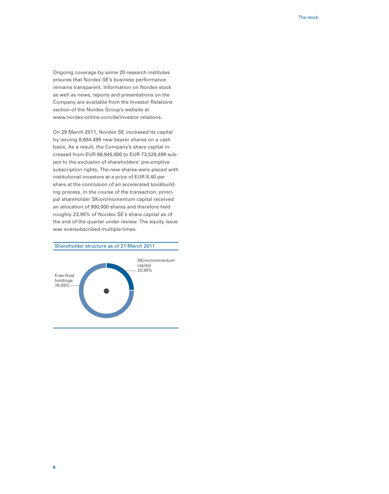Ongoing coverage by some 20 research institutes ensures that Nordex SE's business performance remains transparent. Information on Nordex stock as well as news, reports and presentations on the Company are available from the Investor Relations section of the Nordex Group's website at www.nordex-online.com/de/investor-relations.

On 29 March 2011, Nordex SE increased its capital by issuing 6,684,499 new bearer shares on a cash basis. As a result, the Company's share capital increased from EUR 66,845,000 to EUR 73,529,499 subject to the exclusion of shareholders' pre-emptive subscription rights. The new shares were placed with institutional investors at a price of EUR 8.40 per share at the conclusion of an accelerated bookbuilding process. In the course of the transaction, principal shareholder SKion/momentum capital received an allocation of 900,000 shares and therefore held roughly 23.95% of Nordex SE's share capital as of the end of the quarter under review. The equity issue was oversubscribed multiple times.

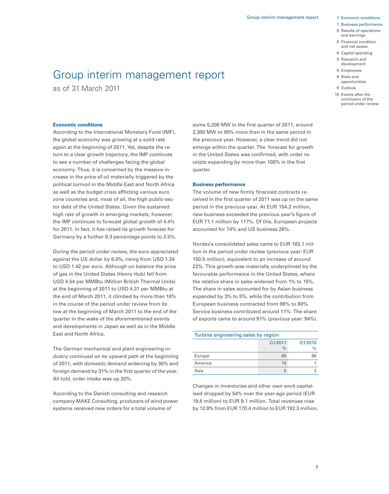#### 7 Business performance

- 8 Results of operations and earnings
- 8 Financial condition and net assets
- 8 Capital spending
- 9 Research and development
- 9 Employees
- 9 Risks and
- opportunities
- 9 Outlook
- 10 Events after the conclusion of the period under review

#### **Economic conditions**

as of 31 March 2011

According to the International Monetary Fund (IMF), the global economy was growing at a solid rate again at the beginning of 2011. Yet, despite the return to a clear growth trajectory, the IMF continues to see a number of challenges facing the global economy. Thus, it is concerned by the massive increase in the price of oil materially triggered by the political turmoil in the Middle East and North Africa as well as the budget crisis afflicting various euro zone countries and, most of all, the high public-sector debt of the United States. Given the sustained high rate of growth in emerging markets, however, the IMF continues to forecast global growth of 4.4% for 2011. In fact, it has raised its growth forecast for Germany by a further 0.3 percentage points to 2.5%.

Group interim management report

During the period under review, the euro appreciated against the US dollar by 6.0%, rising from USD 1.34 to USD 1.42 per euro. Although on balance the price of gas in the United States (Henry Hub) fell from USD 4.54 per MMBtu (Million British Thermal Units) at the beginning of 2011 to USD 4.31 per MMBtu at the end of March 2011, it climbed by more than 16% in the course of the period under review from its low at the beginning of March 2011 to the end of the quarter in the wake of the aforementioned events and developments in Japan as well as in the Middle East and North Africa.

The German mechanical and plant engineering industry continued on its upward path at the beginning of 2011, with domestic demand widening by 35% and foreign demand by 31% in the first quarter of the year. All told, order intake was up 32%.

According to the Danish consulting and research company MAKE Consulting, producers of wind power systems received new orders for a total volume of

some 5,200 MW in the first quarter of 2011, around 2,300 MW or 80% more than in the same period in the previous year. However, a clear trend did not emerge within the quarter. The forecast for growth in the United States was confirmed, with order receipts expanding by more than 100% in the first quarter.

#### **Business performance**

The volume of new firmly financed contracts received in the first quarter of 2011 was up on the same period in the previous year. At EUR 154.2 million, new business exceeded the previous year's figure of EUR 71.1 million by 117%. Of this, European projects accounted for 74% and US business 26%.

Nordex's consolidated sales came to EUR 183.1 million in the period under review (previous year: EUR 150.5 million), equivalent to an increase of around 22%. This growth was materially underpinned by the favourable performance in the United States, where the relative share in sales widened from 1% to 15%. The share in sales accounted for by Asian business expanded by 3% to 5%, while the contribution from European business contracted from 96% to 80%. Service business contributed around 11%. The share of exports came to around 91% (previous year: 94%).

| Turbine engineering sales by region |    |    |  |  |  |
|-------------------------------------|----|----|--|--|--|
| Q1/2011<br>Q1/2010                  |    |    |  |  |  |
|                                     | %  | %  |  |  |  |
| Europe                              | 80 | 96 |  |  |  |
| America                             | 15 |    |  |  |  |
| Asia                                | 5  |    |  |  |  |

Changes in inventories and other own work capitalised dropped by 54% over the year-ago period (EUR 19.8 million) to EUR 9.1 million. Total revenues rose by 12.9% from EUR 170.4 million to EUR 192.3 million.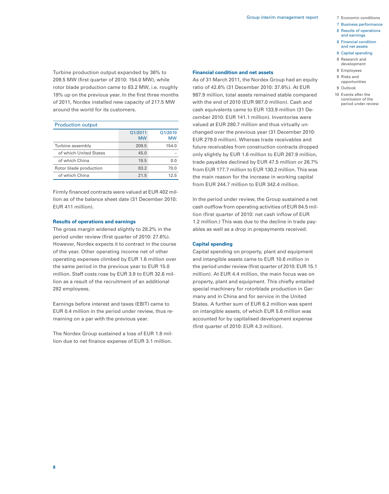- 
- 7 Business performance
- 8 Results of operations and earnings
- 8 Financial condition and net assets
- 8 Capital spending
- 9 Research and
- development
- 9 Employees
- 9 Risks and opportunities
- 
- 9 Outlook
- 10 Events after the conclusion of the period under review

Turbine production output expanded by 36% to 209.5 MW (first quarter of 2010: 154.0 MW), while rotor blade production came to 83.2 MW, i.e. roughly 19% up on the previous year. In the first three months of 2011, Nordex installed new capacity of 217.5 MW around the world for its customers.

| <b>Production output</b> |                      |                      |  |  |
|--------------------------|----------------------|----------------------|--|--|
|                          | Q1/2011<br><b>MW</b> | Q1/2010<br><b>MW</b> |  |  |
| Turbine assembly         | 209.5                | 154.0                |  |  |
| of which United States   | 45.0                 |                      |  |  |
| of which China           | 19.5                 | 0.0                  |  |  |
| Rotor blade production   | 83.2                 | 70.0                 |  |  |
| of which China           | 21.5                 | 12.5                 |  |  |

Firmly financed contracts were valued at EUR 402 million as of the balance sheet date (31 December 2010: EUR 411 million).

#### **Results of operations and earnings**

The gross margin widened slightly to 28.2% in the period under review (first quarter of 2010: 27.6%). However, Nordex expects it to contract in the course of the year. Other operating income net of other operating expenses climbed by EUR 1.6 million over the same period in the previous year to EUR 15.0 million. Staff costs rose by EUR 3.9 to EUR 32.6 million as a result of the recruitment of an additional 282 employees.

Earnings before interest and taxes (EBIT) came to EUR 0.4 million in the period under review, thus remaining on a par with the previous year.

The Nordex Group sustained a loss of EUR 1.8 million due to net finance expense of EUR 3.1 million.

#### **Financial condition and net assets**

As of 31 March 2011, the Nordex Group had an equity ratio of 42.6% (31 December 2010: 37.6%). At EUR 987.9 million, total assets remained stable compared with the end of 2010 (EUR 987.0 million). Cash and cash equivalents came to EUR 133.9 million (31 December 2010: EUR 141.1 million). Inventories were valued at EUR 280.7 million and thus virtually unchanged over the previous year (31 December 2010: EUR 279.0 million). Whereas trade receivables and future receivables from construction contracts dropped only slightly by EUR 1.6 million to EUR 267.9 million, trade payables declined by EUR 47.5 million or 26.7% from EUR 177.7 million to EUR 130.2 million. This was the main reason for the increase in working capital from EUR 244.7 million to EUR 342.4 million.

In the period under review, the Group sustained a net cash outflow from operating activities of EUR 84.5 million (first quarter of 2010: net cash inflow of EUR 1.2 million.) This was due to the decline in trade payables as well as a drop in prepayments received.

#### **Capital spending**

Capital spending on property, plant and equipment and intangible assets came to EUR 10.6 million in the period under review (first quarter of 2010: EUR 15.1 million). At EUR 4.4 million, the main focus was on property, plant and equipment. This chiefly entailed special machinery for rotorblade production in Germany and in China and for service in the United States. A further sum of EUR 6.2 million was spent on intangible assets, of which EUR 5.6 million was accounted for by capitalised development expense (first quarter of 2010: EUR 4.3 million).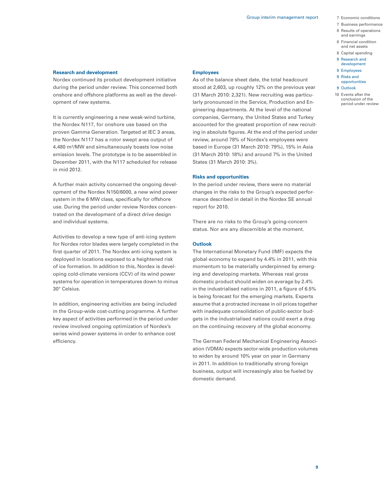- 7 Business performance
- 8 Results of operations and earnings
- 8 Financial condition and net assets
- 8 Capital spending
- 9 Research and
- development
- 9 Employees
- 9 Risks and opportunities
- 9 Outlook
- 
- 10 Events after the conclusion of the period under review

#### **Research and development**

Nordex continued its product development initiative during the period under review. This concerned both onshore and offshore platforms as well as the development of new systems.

It is currently engineering a new weak-wind turbine, the Nordex N117, for onshore use based on the proven Gamma Generation. Targeted at IEC 3 areas, the Nordex N117 has a rotor swept area output of 4,480 m2/MW and simultaneously boasts low noise emission levels. The prototype is to be assembled in December 2011, with the N117 scheduled for release in mid 2012.

A further main activity concerned the ongoing development of the Nordex N150/6000, a new wind power system in the 6 MW class, specifically for offshore use. During the period under review Nordex concentrated on the development of a direct drive design and individual systems.

Activities to develop a new type of anti-icing system for Nordex rotor blades were largely completed in the first quarter of 2011. The Nordex anti-icing system is deployed in locations exposed to a heightened risk of ice formation. In addition to this, Nordex is developing cold-climate versions (CCV) of its wind power systems for operation in temperatures down to minus 30° Celsius.

In addition, engineering activities are being included in the Group-wide cost-cutting programme. A further key aspect of activities performed in the period under review involved ongoing optimization of Nordex's series wind power systems in order to enhance cost efficiency.

#### **Employees**

As of the balance sheet date, the total headcount stood at 2,603, up roughly 12% on the previous year (31 March 2010: 2,321). New recruiting was particularly pronounced in the Service, Production and Engineering departments. At the level of the national companies, Germany, the United States and Turkey accounted for the greatest proportion of new recruiting in absolute figures. At the end of the period under review, around 78% of Nordex's employees were based in Europe (31 March 2010: 79%), 15% in Asia (31 March 2010: 18%) and around 7% in the United States (31 March 2010: 3%).

#### **Risks and opportunities**

In the period under review, there were no material changes in the risks to the Group's expected performance described in detail in the Nordex SE annual report for 2010.

There are no risks to the Group's going-concern status. Nor are any discernible at the moment.

#### **Outlook**

The International Monetary Fund (IMF) expects the global economy to expand by 4.4% in 2011, with this momentum to be materially underpinned by emerging and developing markets. Whereas real gross domestic product should widen on average by 2.4% in the industrialised nations in 2011, a figure of 6.5% is being forecast for the emerging markets. Experts assume that a protracted increase in oil prices together with inadequate consolidation of public-sector budgets in the industrialised nations could exert a drag on the continuing recovery of the global economy.

The German Federal Mechanical Engineering Association (VDMA) expects sector-wide production volumes to widen by around 10% year on year in Germany in 2011. In addition to traditionally strong foreign business, output will increasingly also be fueled by domestic demand.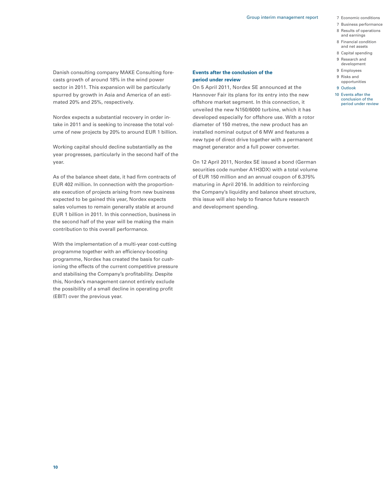- 
- 7 Business performance
- 8 Results of operations and earnings
- 8 Financial condition and net assets
- 
- 
- 8 Capital spending 9 Research and
- development
- 9 Employees
- 9 Risks and opportunities
- 9 Outlook
- 10 Events after the
	- conclusion of the period under review

Danish consulting company MAKE Consulting forecasts growth of around 18% in the wind power sector in 2011. This expansion will be particularly spurred by growth in Asia and America of an estimated 20% and 25%, respectively.

Nordex expects a substantial recovery in order intake in 2011 and is seeking to increase the total volume of new projects by 20% to around EUR 1 billion.

Working capital should decline substantially as the year progresses, particularly in the second half of the year.

As of the balance sheet date, it had firm contracts of EUR 402 million. In connection with the proportionate execution of projects arising from new business expected to be gained this year, Nordex expects sales volumes to remain generally stable at around EUR 1 billion in 2011. In this connection, business in the second half of the year will be making the main contribution to this overall performance.

With the implementation of a multi-year cost-cutting programme together with an efficiency-boosting programme, Nordex has created the basis for cushioning the effects of the current competitive pressure and stabilising the Company's profitability. Despite this, Nordex's management cannot entirely exclude the possibility of a small decline in operating profit (EBIT) over the previous year.

#### **Events after the conclusion of the period under review**

On 5 April 2011, Nordex SE announced at the Hannover Fair its plans for its entry into the new offshore market segment. In this connection, it unveiled the new N150/6000 turbine, which it has developed especially for offshore use. With a rotor diameter of 150 metres, the new product has an installed nominal output of 6 MW and features a new type of direct drive together with a permanent magnet generator and a full power converter.

On 12 April 2011, Nordex SE issued a bond (German securities code number A1H3DX) with a total volume of EUR 150 million and an annual coupon of 6.375% maturing in April 2016. In addition to reinforcing the Company's liquidity and balance sheet structure, this issue will also help to finance future research and development spending.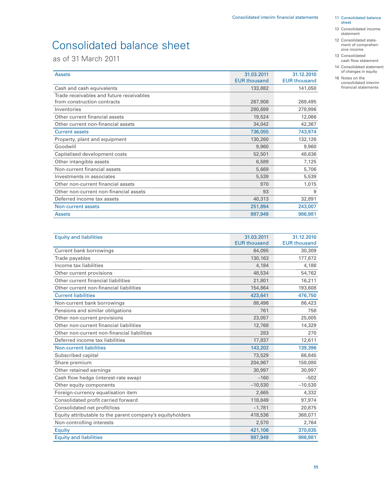# Consolidated balance sheet

as of 31 March 2011

| <b>Assets</b>                            | 31.03.2011          | 31.12.2010          |
|------------------------------------------|---------------------|---------------------|
|                                          | <b>EUR thousand</b> | <b>EUR thousand</b> |
| Cash and cash equivalents                | 133,882             | 141,050             |
| Trade receivables and future receivables |                     |                     |
| from construction contracts              | 267,908             | 269,495             |
| Inventories                              | 280,699             | 278,996             |
| Other current financial assets           | 19,524              | 12,066              |
| Other current non-financial assets       | 34,042              | 42,367              |
| <b>Current assets</b>                    | 736,055             | 743,974             |
| Property, plant and equipment            | 130,260             | 132,126             |
| Goodwill                                 | 9,960               | 9,960               |
| Capitalised development costs            | 52,501              | 48,636              |
| Other intangible assets                  | 6,589               | 7,125               |
| Non-current financial assets             | 5,669               | 5,706               |
| Investments in associates                | 5,539               | 5,539               |
| Other non-current financial assets       | 970                 | 1,015               |
| Other non-current non-financial assets   | 93                  | 9                   |
| Deferred income tax assets               | 40,313              | 32,891              |
| Non-current assets                       | 251,894             | 243,007             |
| <b>Assets</b>                            | 987,949             | 986,981             |

| <b>Equity and liabilities</b>                             | 31.03.2011          | 31.12.2010          |
|-----------------------------------------------------------|---------------------|---------------------|
|                                                           | <b>EUR thousand</b> | <b>EUR thousand</b> |
| <b>Current bank borrowings</b>                            | 64,095              | 30,309              |
| Trade payables                                            | 130,163             | 177,672             |
| Income tax liabilities                                    | 4,184               | 4,188               |
| Other current provisions                                  | 48,534              | 54,762              |
| Other current financial liabilities                       | 21,801              | 16,211              |
| Other current non-financial liabilities                   | 154,864             | 193,608             |
| <b>Current liabilities</b>                                | 423,641             | 476,750             |
| Non-current bank borrowings                               | 88,496              | 86,423              |
| Pensions and similar obligations                          | 761                 | 758                 |
| Other non-current provisions                              | 23,057              | 25,005              |
| Other non-current financial liabilities                   | 12,768              | 14,329              |
| Other non-current non-financial liabilities               | 283                 | 270                 |
| Deferred income tax liabilities                           | 17,837              | 12,611              |
| Non-current liabilities                                   | 143,202             | 139,396             |
| Subscribed capital                                        | 73,529              | 66,845              |
| Share premium                                             | 204,967             | 158,080             |
| Other retained earnings                                   | 30,997              | 30,997              |
| Cash flow hedge (interest-rate swap)                      | $-160$              | $-502$              |
| Other equity components                                   | $-10,530$           | $-10,530$           |
| Foreign-currency equalisation item                        | 2,665               | 4,332               |
| Consolidated profit carried forward                       | 118,849             | 97,974              |
| Consolidated net profit/loss                              | $-1,781$            | 20,875              |
| Equity attributable to the parent company's equityholders | 418,536             | 368,071             |
| Non-controlling interests                                 | 2,570               | 2,764               |
| Equity                                                    | 421,106             | 370,835             |
| <b>Equity and liabilities</b>                             | 987,949             | 986,981             |

 11 Consolidated balance sheet

- 12 Consolidated income statement
- 12 Consolidated state ment of comprehensive income
- 13 Consolidated cash flow statement
- 14 Consolidated statement of changes in equity
- 16 Notes on the consolidated interim financial statements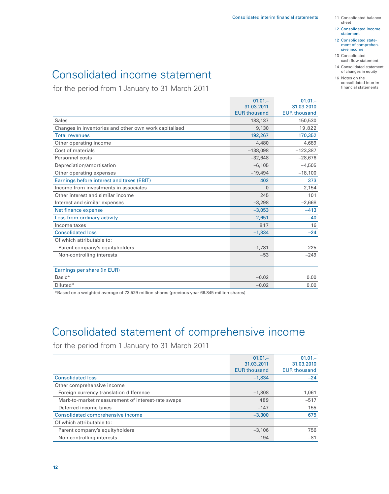- sheet
- 12 Consolidated income statement
- 12 Consolidated state ment of comprehen sive income
- 13 Consolidated cash flow statement
- 14 Consolidated statement of changes in equity
- 16 Notes on the consolidated interim financial statements

## Consolidated income statement

for the period from 1 January to 31 March 2011

|                                                       | $01.01 -$           | $01.01 -$           |
|-------------------------------------------------------|---------------------|---------------------|
|                                                       | 31.03.2011          | 31.03.2010          |
|                                                       | <b>EUR thousand</b> | <b>EUR thousand</b> |
| Sales                                                 | 183,137             | 150,530             |
| Changes in inventories and other own work capitalised | 9,130               | 19,822              |
| <b>Total revenues</b>                                 | 192,267             | 170,352             |
| Other operating income                                | 4,480               | 4,689               |
| Cost of materials                                     | $-138,098$          | $-123,387$          |
| Personnel costs                                       | $-32,648$           | $-28,676$           |
| Depreciation/amortisation                             | $-6.105$            | $-4,505$            |
| Other operating expenses                              | $-19,494$           | $-18,100$           |
| Earnings before interest and taxes (EBIT)             | 402                 | 373                 |
| Income from investments in associates                 | $\overline{0}$      | 2,154               |
| Other interest and similar income                     | 245                 | 101                 |
| Interest and similar expenses                         | $-3,298$            | $-2,668$            |
| Net finance expense                                   | $-3,053$            | $-413$              |
| Loss from ordinary activity                           | $-2,651$            | $-40$               |
| Income taxes                                          | 817                 | 16                  |
| <b>Consolidated loss</b>                              | $-1,834$            | $-24$               |
| Of which attributable to:                             |                     |                     |
| Parent company's equityholders                        | $-1,781$            | 225                 |
| Non-controlling interests                             | $-53$               | $-249$              |
|                                                       |                     |                     |
| Earnings per share (in EUR)                           |                     |                     |
| Basic*                                                | $-0.02$             | 0.00                |
| Diluted*                                              | $-0.02$             | 0.00                |

\*Based on a weighted average of 73.529 million shares (previous year 66.845 million shares)

## Consolidated statement of comprehensive income

for the period from 1 January to 31 March 2011

|                                                   | $01.01 -$           | $01.01 -$           |
|---------------------------------------------------|---------------------|---------------------|
|                                                   | 31.03.2011          | 31.03.2010          |
|                                                   | <b>EUR thousand</b> | <b>EUR thousand</b> |
| <b>Consolidated loss</b>                          | $-1.834$            | $-24$               |
| Other comprehensive income                        |                     |                     |
| Foreign currency translation difference           | $-1,808$            | 1,061               |
| Mark-to-market measurement of interest-rate swaps | 489                 | $-517$              |
| Deferred income taxes                             | $-147$              | 155                 |
| Consolidated comprehensive income                 | $-3.300$            | 675                 |
| Of which attributable to:                         |                     |                     |
| Parent company's equityholders                    | $-3,106$            | 756                 |
| Non-controlling interests                         | $-194$              | $-81$               |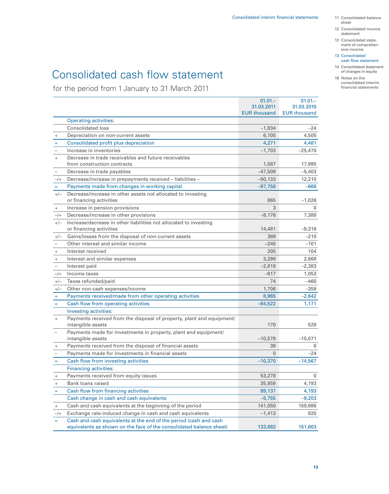- 11 Consolidated balance sheet
- 12 Consolidated income statement
- 12 Consolidated state ment of comprehensive income
- 13 Consolidated cash flow statement
- 14 Consolidated statement of changes in equity

#### 16 Notes on the consolidated interim financial statements

# Consolidated cash flow statement

for the period from 1 January to 31 March 2011

|                                  |                                                                       | $01.01 -$           | $01.01 -$           |
|----------------------------------|-----------------------------------------------------------------------|---------------------|---------------------|
|                                  |                                                                       | 31.03.2011          | 31.03.2010          |
|                                  |                                                                       | <b>EUR thousand</b> | <b>EUR thousand</b> |
|                                  | <b>Operating activities:</b>                                          |                     |                     |
|                                  | <b>Consolidated loss</b>                                              | $-1,834$            | $-24$               |
| $\ddot{}$                        | Depreciation on non-current assets                                    | 6,105               | 4,505               |
| $=$                              | Consolidated profit plus depreciation                                 | 4,271               | 4,481               |
|                                  | Increase in inventories                                               | $-1,703$            | $-25,470$           |
| $\ddot{}$                        | Decrease in trade receivables and future receivables                  |                     |                     |
|                                  | from construction contracts                                           | 1,587               | 17,995              |
| $\overline{\phantom{a}}$         | Decrease in trade payables                                            | $-47,509$           | $-5,403$            |
| $-$ /+                           | Decrease/increase in prepayments received - liabilities -             | $-50,133$           | 12,210              |
| $=$                              | Payments made from changes in working capital                         | $-97,758$           | $-668$              |
| $+/-$                            | Decrease/increase in other assets not allocated to investing          |                     |                     |
|                                  | or financing activities                                               | 865                 | $-1,026$            |
| $^{+}$                           | Increase in pension provisions                                        | 3                   | $\mathbf{0}$        |
| $-/+$                            | Decrease/increase in other provisions                                 | $-8,176$            | 7,388               |
| $+/-$                            | Increase/decrease in other liabilities not allocated to investing     |                     |                     |
|                                  | or financing activities                                               | 14,481              | $-9,316$            |
| $+/-$                            | Gains/losses from the disposal of non-current assets                  | 389                 | $-210$              |
|                                  | Other interest and similar income                                     | $-245$              | $-101$              |
| $\! + \!\!\!\!$                  | Interest received                                                     | 205                 | 104                 |
| $\! + \!\!\!\!$                  | Interest and similar expenses                                         | 3,298               | 2,668               |
|                                  | Interest paid                                                         | $-2,818$            | $-2,383$            |
| $-/+$                            | Income taxes                                                          | $-817$              | 1,053               |
| $+/-$                            | Taxes refunded/paid                                                   | 74                  | $-460$              |
| $+/-$                            | Other non-cash expenses/income                                        | 1,706               | $-359$              |
| $\equiv$                         | Payments received/made from other operating activities                | 8,965               | $-2,642$            |
| $=$                              | Cash flow from operating activities                                   | $-84,522$           | 1,171               |
|                                  | Investing activities:                                                 |                     |                     |
| $^{+}$                           | Payments received from the disposal of property, plant and equipment/ |                     |                     |
|                                  | intangible assets                                                     | 170                 | 528                 |
|                                  | Payments made for investments in property, plant and equipment/       |                     |                     |
|                                  | intangible assets                                                     | $-10,578$           | $-15,071$           |
| $\begin{array}{c} + \end{array}$ | Payments received from the disposal of financial assets               | 38                  | 0                   |
|                                  | Payments made for investments in financial assets                     | $\mathbf{0}$        | -24                 |
| $\equiv$                         | Cash flow from investing activities                                   | $-10,370$           | $-14,567$           |
|                                  | <b>Financing activities:</b>                                          |                     |                     |
| $^{+}$                           | Payments received from equity issues                                  | 53,278              | 0                   |
| $\! + \!\!\!\!$                  | Bank loans raised                                                     | 35,859              | 4,193               |
| $\qquad \qquad =$                | Cash flow from financing activities                                   | 89,137              | 4,193               |
|                                  | Cash change in cash and cash equivalents                              | $-5,755$            | $-9,203$            |
| $^+$                             | Cash and cash equivalents at the beginning of the period              | 141,050             | 159,886             |
|                                  | Exchange rate-induced change in cash and cash equivalents             | -1,413              | 920                 |
| $-/+$                            | Cash and cash equivalents at the end of the period (cash and cash     |                     |                     |
| $=$                              | equivalents as shown on the face of the consolidated balance sheet)   | 133,882             | 151,603             |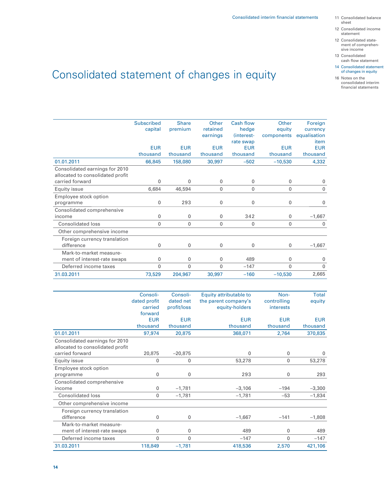- sheet
- 12 Consolidated income statement
- 12 Consolidated state ment of comprehensive income
- 13 Consolidated cash flow statement
- 14 Consolidated statement of changes in equity
- 16 Notes on the consolidated interim financial statements

# Consolidated statement of changes in equity

|                                                                    | <b>Subscribed</b> | <b>Share</b> | Other        | <b>Cash flow</b> | Other        | Foreign      |
|--------------------------------------------------------------------|-------------------|--------------|--------------|------------------|--------------|--------------|
|                                                                    | capital           | premium      | retained     | hedge            | equity       | currency     |
|                                                                    |                   |              | earnings     | (interest-       |              | equalisation |
|                                                                    |                   |              |              |                  | components   |              |
|                                                                    |                   |              |              | rate swap        |              | item         |
|                                                                    | <b>EUR</b>        | <b>EUR</b>   | <b>EUR</b>   | <b>EUR</b>       | <b>EUR</b>   | <b>EUR</b>   |
|                                                                    | thousand          | thousand     | thousand     | thousand         | thousand     | thousand     |
| 01.01.2011                                                         | 66,845            | 158,080      | 30,997       | $-502$           | $-10,530$    | 4,332        |
| Consolidated earnings for 2010<br>allocated to consolidated profit |                   |              |              |                  |              |              |
| carried forward                                                    | 0                 | 0            | $\mathbf{0}$ | $\mathbf 0$      | $\mathbf{0}$ | <sup>0</sup> |
| Equity issue                                                       | 6,684             | 46,594       | $\mathbf{0}$ | 0                | $\mathbf{0}$ | 0            |
| Employee stock option                                              |                   |              |              |                  |              |              |
| programme                                                          | 0                 | 293          | $\mathbf 0$  | $\mathbf 0$      | $\mathbf 0$  | 0            |
| Consolidated comprehensive                                         |                   |              |              |                  |              |              |
| income                                                             | $\mathbf{0}$      | 0            | $\mathbf{0}$ | 342              | $\mathbf{0}$ | $-1,667$     |
| <b>Consolidated loss</b>                                           | 0                 | 0            | $\mathbf{0}$ | 0                | $\mathbf{0}$ | $\mathbf{0}$ |
| Other comprehensive income                                         |                   |              |              |                  |              |              |
| Foreign currency translation<br>difference                         | 0                 | 0            | $\mathbf{0}$ | 0                | $\mathbf{0}$ | $-1,667$     |
| Mark-to-market measure-                                            |                   |              |              |                  |              |              |
| ment of interest-rate swaps                                        | 0                 | 0            | $\mathbf{0}$ | 489              | $\Omega$     | $\mathbf{0}$ |
| Deferred income taxes                                              | $\mathbf{0}$      | 0            | $\Omega$     | $-147$           | $\mathbf{0}$ | $\Omega$     |
| 31.03.2011                                                         | 73,529            | 204,967      | 30,997       | $-160$           | $-10,530$    | 2,665        |

|                                                                    | Consoli-     | Consoli-    | Equity attributable to | Non-         | Total      |
|--------------------------------------------------------------------|--------------|-------------|------------------------|--------------|------------|
|                                                                    | dated profit | dated net   | the parent company's   | controlling  | equity     |
|                                                                    | carried      | profit/loss | equity-holders         | interests    |            |
|                                                                    | forward      |             |                        |              |            |
|                                                                    | <b>EUR</b>   | <b>EUR</b>  | <b>EUR</b>             | <b>EUR</b>   | <b>EUR</b> |
|                                                                    | thousand     | thousand    | thousand               | thousand     | thousand   |
| 01.01.2011                                                         | 97,974       | 20,875      | 368,071                | 2,764        | 370,835    |
| Consolidated earnings for 2010<br>allocated to consolidated profit |              |             |                        |              |            |
| carried forward                                                    | 20,875       | $-20,875$   | $\Omega$               | 0            | 0          |
| Equity issue                                                       | $\mathbf 0$  | 0           | 53,278                 | $\mathbf{0}$ | 53,278     |
| Employee stock option                                              |              |             |                        |              |            |
| programme                                                          | 0            | 0           | 293                    | 0            | 293        |
| Consolidated comprehensive                                         |              |             |                        |              |            |
| income                                                             | $\mathbf 0$  | $-1,781$    | $-3,106$               | $-194$       | $-3,300$   |
| <b>Consolidated loss</b>                                           | $\mathbf 0$  | $-1,781$    | $-1,781$               | $-53$        | $-1,834$   |
| Other comprehensive income                                         |              |             |                        |              |            |
| Foreign currency translation<br>difference                         | 0            | 0           | $-1,667$               | $-141$       | $-1,808$   |
| Mark-to-market measure-                                            |              |             |                        |              |            |
| ment of interest-rate swaps                                        | 0            | 0           | 489                    | 0            | 489        |
| Deferred income taxes                                              | $\mathbf 0$  | 0           | $-147$                 | 0            | $-147$     |
| 31.03.2011                                                         | 118,849      | $-1,781$    | 418,536                | 2,570        | 421,106    |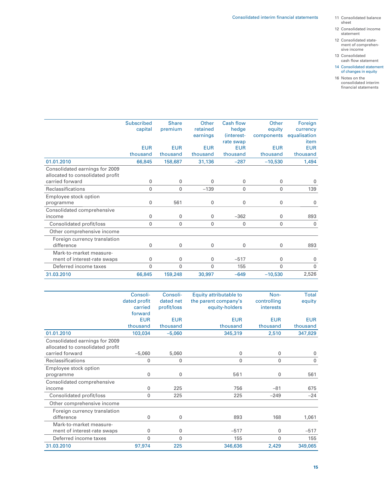- 11 Consolidated balance sheet
- 12 Consolidated income statement
- 12 Consolidated state ment of comprehensive income
- 13 Consolidated cash flow statement
- 14 Consolidated statement of changes in equity
- 16 Notes on the consolidated interim financial statements

|                                  | <b>Subscribed</b> | <b>Share</b> | Other        | <b>Cash flow</b> | Other        | Foreign      |
|----------------------------------|-------------------|--------------|--------------|------------------|--------------|--------------|
|                                  | capital           | premium      | retained     | hedge            | equity       | currency     |
|                                  |                   |              | earnings     | (interest-       | components   | equalisation |
|                                  |                   |              |              | rate swap        |              | item         |
|                                  | <b>EUR</b>        | <b>EUR</b>   | <b>EUR</b>   | <b>EUR</b>       | <b>EUR</b>   | <b>EUR</b>   |
|                                  | thousand          | thousand     | thousand     | thousand         | thousand     | thousand     |
| 01.01.2010                       | 66,845            | 158,687      | 31,136       | $-287$           | $-10,530$    | 1,494        |
| Consolidated earnings for 2009   |                   |              |              |                  |              |              |
| allocated to consolidated profit |                   |              |              |                  |              |              |
| carried forward                  | 0                 | $\mathbf{0}$ | 0            | 0                | $\mathbf 0$  | 0            |
| <b>Reclassifications</b>         | 0                 | $\mathbf{0}$ | $-139$       | $\mathbf{0}$     | $\mathbf{0}$ | 139          |
| Employee stock option            |                   |              |              |                  |              |              |
| programme                        | 0                 | 561          | 0            | 0                | $\mathbf 0$  | 0            |
| Consolidated comprehensive       |                   |              |              |                  |              |              |
| income                           | 0                 | $\mathbf{0}$ | $\mathbf{0}$ | $-362$           | $\mathbf 0$  | 893          |
| Consolidated profit/loss         | 0                 | $\mathbf{0}$ | 0            | 0                | $\mathbf{0}$ | 0            |
| Other comprehensive income       |                   |              |              |                  |              |              |
| Foreign currency translation     |                   |              |              |                  |              |              |
| difference                       | 0                 | 0            | 0            | 0                | $\mathbf{0}$ | 893          |
| Mark-to-market measure-          |                   |              |              |                  |              |              |
| ment of interest-rate swaps      | 0                 | 0            | 0            | $-517$           | $\mathbf 0$  | 0            |
| Deferred income taxes            | 0                 | $\mathbf{0}$ | $\mathbf{0}$ | 155              | $\mathbf{0}$ | 0            |
| 31.03.2010                       | 66,845            | 159,248      | 30,997       | $-649$           | $-10,530$    | 2,526        |
|                                  |                   |              |              |                  |              |              |

|                                  | Consoli-     | Consoli-     | Equity attributable to | Non-         | Total       |
|----------------------------------|--------------|--------------|------------------------|--------------|-------------|
|                                  | dated profit | dated net    | the parent company's   | controlling  | equity      |
|                                  | carried      | profit/loss  | equity-holders         | interests    |             |
|                                  | forward      |              |                        |              |             |
|                                  | <b>EUR</b>   | <b>EUR</b>   | <b>EUR</b>             | <b>EUR</b>   | <b>EUR</b>  |
|                                  | thousand     | thousand     | thousand               | thousand     | thousand    |
| 01.01.2010                       | 103,034      | $-5,060$     | 345,319                | 2,510        | 347,829     |
| Consolidated earnings for 2009   |              |              |                        |              |             |
| allocated to consolidated profit |              |              |                        |              |             |
| carried forward                  | $-5,060$     | 5,060        | 0                      | 0            | 0           |
| Reclassifications                | 0            | $\mathbf{0}$ | $\mathbf{0}$           | $\mathbf{0}$ | $\mathbf 0$ |
| Employee stock option            |              |              |                        |              |             |
| programme                        | 0            | $\mathbf 0$  | 561                    | 0            | 561         |
| Consolidated comprehensive       |              |              |                        |              |             |
| income                           | 0            | 225          | 756                    | $-81$        | 675         |
| Consolidated profit/loss         | 0            | 225          | 225                    | $-249$       | $-24$       |
| Other comprehensive income       |              |              |                        |              |             |
| Foreign currency translation     |              |              |                        |              |             |
| difference                       | 0            | $\mathbf 0$  | 893                    | 168          | 1,061       |
| Mark-to-market measure-          |              |              |                        |              |             |
| ment of interest-rate swaps      | 0            | $\mathbf{0}$ | $-517$                 | $\mathbf 0$  | $-517$      |
| Deferred income taxes            | 0            | $\mathbf{0}$ | 155                    | $\mathbf 0$  | 155         |
| 31.03.2010                       | 97,974       | 225          | 346,636                | 2,429        | 349,065     |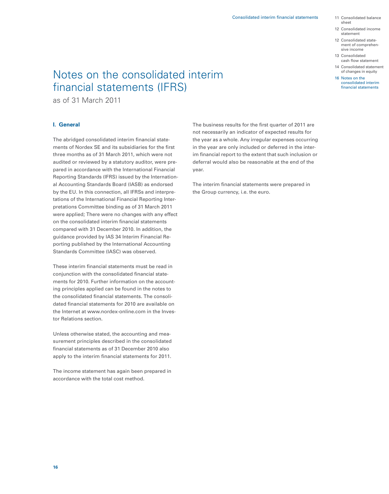- 11 Consolidated balance sheet
- 12 Consolidated income statement
- 12 Consolidated state ment of comprehen sive income
- 13 Consolidated cash flow statement
- 14 Consolidated statement of changes in equity
- 16 Notes on the consolidated interim financial statements

## Notes on the consolidated interim financial statements (IFRS)

as of 31 March 2011

#### **I. General**

The abridged consolidated interim financial statements of Nordex SE and its subsidiaries for the first three months as of 31 March 2011, which were not audited or reviewed by a statutory auditor, were prepared in accordance with the International Financial Reporting Standards (IFRS) issued by the International Accounting Standards Board (IASB) as endorsed by the EU. In this connection, all IFRSs and interpretations of the International Financial Reporting Interpretations Committee binding as of 31 March 2011 were applied; There were no changes with any effect on the consolidated interim financial statements compared with 31 December 2010. In addition, the guidance provided by IAS 34 Interim Financial Reporting published by the International Accounting Standards Committee (IASC) was observed.

These interim financial statements must be read in conjunction with the consolidated financial statements for 2010. Further information on the accounting principles applied can be found in the notes to the consolidated financial statements. The consolidated financial statements for 2010 are available on the Internet at www.nordex-online.com in the Investor Relations section.

Unless otherwise stated, the accounting and measurement principles described in the consolidated financial statements as of 31 December 2010 also apply to the interim financial statements for 2011.

The income statement has again been prepared in accordance with the total cost method.

The business results for the first quarter of 2011 are not necessarily an indicator of expected results for the year as a whole. Any irregular expenses occurring in the year are only included or deferred in the interim financial report to the extent that such inclusion or deferral would also be reasonable at the end of the year.

The interim financial statements were prepared in the Group currency, i.e. the euro.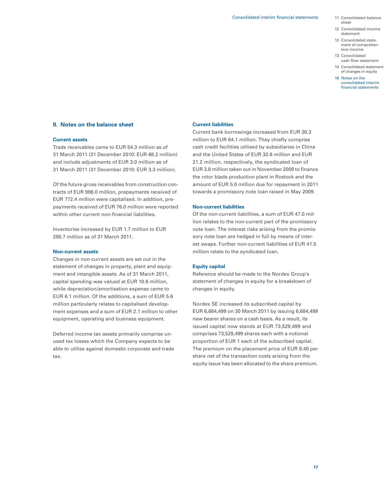- 11 Consolidated balance sheet
- 12 Consolidated income statement
- 12 Consolidated state ment of comprehen sive income
- 13 Consolidated cash flow statement
- 14 Consolidated statement of changes in equity
- 16 Notes on the consolidated interim financial statements

#### **II. Notes on the balance sheet**

#### **Current assets**

Trade receivables came to EUR 54.3 million as of 31 March 2011 (31 December 2010: EUR 68.2 million) and include adjustments of EUR 3.0 million as of 31 March 2011 (31 December 2010: EUR 3.3 million).

Of the future gross receivables from construction contracts of EUR 986.0 million, prepayments received of EUR 772.4 million were capitalised. In addition, prepayments received of EUR 76.0 million were reported within other current non-financial liabilities.

Inventories increased by EUR 1.7 million to EUR 280.7 million as of 31 March 2011.

#### **Non-current assets**

Changes in non-current assets are set out in the statement of changes in property, plant and equipment and intangible assets. As of 31 March 2011, capital spending was valued at EUR 10.6 million, while depreciation/amortisation expense came to EUR 6.1 million. Of the additions, a sum of EUR 5.6 million particularly relates to capitalised development expenses and a sum of EUR 2.1 million to other equipment, operating and business equipment.

Deferred income tax assets primarily comprise unused tax losses which the Company expects to be able to utilise against domestic corporate and trade tax.

#### **Current liabilities**

Current bank borrowings increased from EUR 30.3 million to EUR 64.1 million. They chiefly comprise cash credit facilities utilised by subsidiaries in China and the United States of EUR 32.6 million and EUR 21.2 million, respectively, the syndicated loan of EUR 3.8 million taken out in November 2009 to finance the rotor blade production plant in Rostock and the amount of EUR 5.0 million due for repayment in 2011 towards a promissory note loan raised in May 2009.

#### **Non-current liabilities**

Of the non-current liabilities, a sum of EUR 47.0 million relates to the non-current part of the promissory note loan. The interest risks arising from the promissory note loan are hedged in full by means of interest swaps. Further non-current liabilities of EUR 41.5 million relate to the syndicated loan.

#### **Equity capital**

Reference should be made to the Nordex Group's statement of changes in equity for a breakdown of changes in equity.

Nordex SE increased its subscribed capital by EUR 6,684,499 on 30 March 2011 by issuing 6,684,499 new bearer shares on a cash basis. As a result, its issued capital now stands at EUR 73,529,499 and comprises 73,529,499 shares each with a notional proportion of EUR 1 each of the subscribed capital. The premium on the placement price of EUR 8.40 per share net of the transaction costs arising from the equity issue has been allocated to the share premium.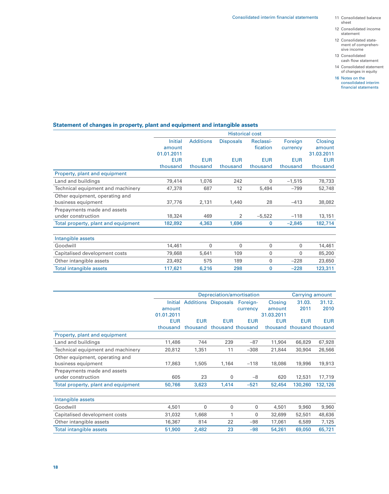- sheet
- 12 Consolidated income statement
- 12 Consolidated state ment of comprehensive income
- 13 Consolidated cash flow statement
- 14 Consolidated statement of changes in equity
- 16 Notes on the consolidated interim financial statements

### **Statement of changes in property, plant and equipment and intangible assets**

|                                     | <b>Historical cost</b> |                  |                  |            |            |            |
|-------------------------------------|------------------------|------------------|------------------|------------|------------|------------|
|                                     | <b>Initial</b>         | <b>Additions</b> | <b>Disposals</b> | Reclassi-  | Foreign    | Closing    |
|                                     | amount                 |                  |                  | fication   | currency   | amount     |
|                                     | 01.01.2011             |                  |                  |            |            | 31.03.2011 |
|                                     | <b>EUR</b>             | <b>EUR</b>       | <b>EUR</b>       | <b>EUR</b> | <b>EUR</b> | <b>EUR</b> |
|                                     | thousand               | thousand         | thousand         | thousand   | thousand   | thousand   |
| Property, plant and equipment       |                        |                  |                  |            |            |            |
| Land and buildings                  | 79,414                 | 1,076            | 242              | 0          | $-1,515$   | 78,733     |
| Technical equipment and machinery   | 47,378                 | 687              | 12               | 5,494      | $-799$     | 52,748     |
| Other equipment, operating and      |                        |                  |                  |            |            |            |
| business equipment                  | 37,776                 | 2,131            | 1,440            | 28         | $-413$     | 38,082     |
| Prepayments made and assets         |                        |                  |                  |            |            |            |
| under construction                  | 18,324                 | 469              | 2                | $-5,522$   | $-118$     | 13,151     |
| Total property, plant and equipment | 182,892                | 4,363            | 1,696            | 0          | $-2,845$   | 182,714    |
| Intangible assets                   |                        |                  |                  |            |            |            |
| Goodwill                            | 14,461                 | 0                | $\Omega$         | 0          | 0          | 14,461     |
| Capitalised development costs       | 79,668                 | 5,641            | 109              | 0          | $\Omega$   | 85,200     |
| Other intangible assets             | 23,492                 | 575              | 189              | 0          | $-228$     | 23,650     |
| <b>Total intangible assets</b>      | 117,621                | 6,216            | 298              | 0          | $-228$     | 123,311    |

|                                     | Carrying amount<br>Depreciation/amortisation |            |                                     |             |                |            |                   |
|-------------------------------------|----------------------------------------------|------------|-------------------------------------|-------------|----------------|------------|-------------------|
|                                     |                                              |            |                                     |             |                |            |                   |
|                                     | Initial                                      |            | <b>Additions Disposals Foreign-</b> |             | <b>Closing</b> | 31.03.     | 31.12.            |
|                                     | amount                                       |            |                                     | currency    | amount         | 2011       | 2010              |
|                                     | 01.01.2011                                   |            |                                     |             | 31.03.2011     |            |                   |
|                                     | <b>EUR</b>                                   | <b>EUR</b> | <b>EUR</b>                          | <b>EUR</b>  | <b>EUR</b>     | <b>EUR</b> | <b>EUR</b>        |
|                                     | thousand                                     | thousand   | thousand thousand                   |             | thousand       |            | thousand thousand |
| Property, plant and equipment       |                                              |            |                                     |             |                |            |                   |
| Land and buildings                  | 11,486                                       | 744        | 239                                 | $-87$       | 11,904         | 66,829     | 67,928            |
| Technical equipment and machinery   | 20,812                                       | 1,351      | 11                                  | $-308$      | 21,844         | 30,904     | 26,566            |
| Other equipment, operating and      |                                              |            |                                     |             |                |            |                   |
| business equipment                  | 17,863                                       | 1,505      | 1,164                               | $-118$      | 18,086         | 19,996     | 19,913            |
| Prepayments made and assets         |                                              |            |                                     |             |                |            |                   |
| under construction                  | 605                                          | 23         | 0                                   | $-8$        | 620            | 12,531     | 17,719            |
| Total property, plant and equipment | 50,766                                       | 3,623      | 1,414                               | $-521$      | 52,454         | 130,260    | 132,126           |
|                                     |                                              |            |                                     |             |                |            |                   |
| Intangible assets                   |                                              |            |                                     |             |                |            |                   |
| Goodwill                            | 4,501                                        | 0          | 0                                   | $\mathbf 0$ | 4,501          | 9,960      | 9,960             |
| Capitalised development costs       | 31,032                                       | 1,668      | 1                                   | $\mathbf 0$ | 32,699         | 52,501     | 48,636            |
| Other intangible assets             | 16,367                                       | 814        | 22                                  | $-98$       | 17,061         | 6,589      | 7,125             |
| <b>Total intangible assets</b>      | 51,900                                       | 2,482      | 23                                  | $-98$       | 54,261         | 69,050     | 65,721            |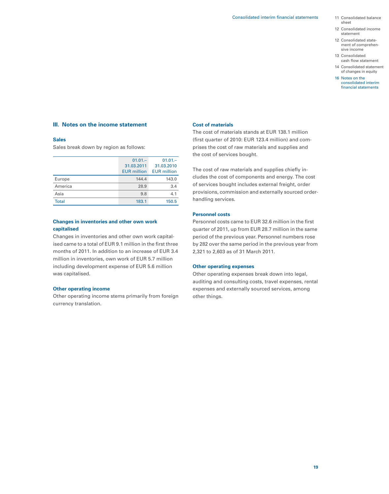- 11 Consolidated balance sheet
- 12 Consolidated income statement
- 12 Consolidated state ment of comprehen sive income
- 13 Consolidated cash flow statement
- 14 Consolidated statement of changes in equity
- 16 Notes on the consolidated interim financial statements

#### **III. Notes on the income statement**

#### **Sales**

Sales break down by region as follows:

|              | $01.01 -$<br>31.03.2011<br><b>EUR</b> million | $01.01 -$<br>31.03.2010<br><b>EUR</b> million |
|--------------|-----------------------------------------------|-----------------------------------------------|
| Europe       | 144.4                                         | 143.0                                         |
| America      | 28.9                                          | 3.4                                           |
| Asia         | 9.8                                           | 4.1                                           |
| <b>Total</b> | 183.1                                         | 150.5                                         |

#### **Changes in inventories and other own work capitalised**

Changes in inventories and other own work capitalised came to a total of EUR 9.1 million in the first three months of 2011. In addition to an increase of EUR 3.4 million in inventories, own work of EUR 5.7 million including development expense of EUR 5.6 million was capitalised.

#### **Other operating income**

Other operating income stems primarily from foreign currency translation.

#### **Cost of materials**

The cost of materials stands at EUR 138.1 million (first quarter of 2010: EUR 123.4 million) and comprises the cost of raw materials and supplies and the cost of services bought.

The cost of raw materials and supplies chiefly includes the cost of components and energy. The cost of services bought includes external freight, order provisions, commission and externally sourced orderhandling services.

#### **Personnel costs**

Personnel costs came to EUR 32.6 million in the first quarter of 2011, up from EUR 28.7 million in the same period of the previous year. Personnel numbers rose by 282 over the same period in the previous year from 2,321 to 2,603 as of 31 March 2011.

#### **Other operating expenses**

Other operating expenses break down into legal, auditing and consulting costs, travel expenses, rental expenses and externally sourced services, among other things.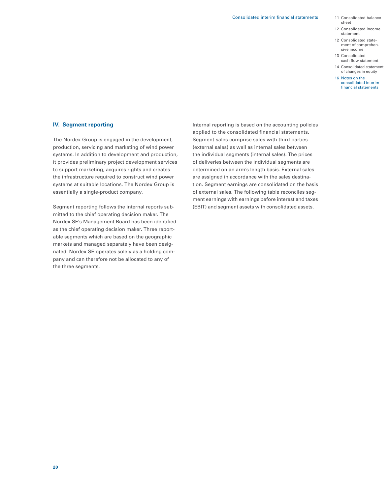- sheet
- 12 Consolidated income statement
- 12 Consolidated state ment of comprehensive income
- 13 Consolidated cash flow statement
- 14 Consolidated statement of changes in equity
- 16 Notes on the consolidated interim financial statements

#### **IV. Segment reporting**

The Nordex Group is engaged in the development, production, servicing and marketing of wind power systems. In addition to development and production, it provides preliminary project development services to support marketing, acquires rights and creates the infrastructure required to construct wind power systems at suitable locations. The Nordex Group is essentially a single-product company.

Segment reporting follows the internal reports submitted to the chief operating decision maker. The Nordex SE's Management Board has been identified as the chief operating decision maker. Three reportable segments which are based on the geographic markets and managed separately have been designated. Nordex SE operates solely as a holding company and can therefore not be allocated to any of the three segments.

Internal reporting is based on the accounting policies applied to the consolidated financial statements. Segment sales comprise sales with third parties (external sales) as well as internal sales between the individual segments (internal sales). The prices of deliveries between the individual segments are determined on an arm's length basis. External sales are assigned in accordance with the sales destination. Segment earnings are consolidated on the basis of external sales. The following table reconciles segment earnings with earnings before interest and taxes (EBIT) and segment assets with consolidated assets.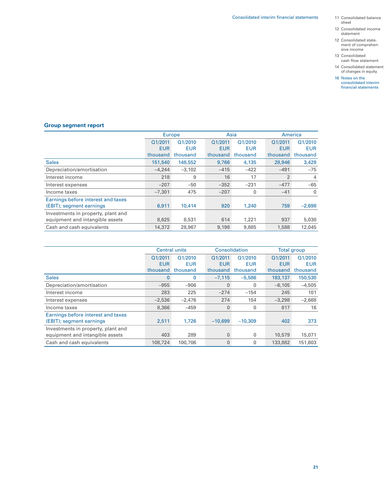- 11 Consolidated balance sheet
- 12 Consolidated income statement
- 12 Consolidated state- ment of comprehen- sive income
- 13 Consolidated cash flow statement
- 14 Consolidated statement of changes in equity
- 16 Notes on the consolidated interim financial statements

### **Group segment report**

|                                    | <b>Europe</b> |            | Asia       |              | America        |                |
|------------------------------------|---------------|------------|------------|--------------|----------------|----------------|
|                                    | Q1/2011       | Q1/2010    | Q1/2011    | Q1/2010      | Q1/2011        | Q1/2010        |
|                                    | <b>EUR</b>    | <b>EUR</b> | <b>EUR</b> | <b>EUR</b>   | <b>EUR</b>     | <b>EUR</b>     |
|                                    | thousand      | thousand   | thousand   | thousand     | thousand       | thousand       |
| <b>Sales</b>                       | 151,540       | 148,552    | 9.766      | 4,135        | 28,946         | 3,429          |
| Depreciation/amortisation          | $-4.244$      | $-3,102$   | $-415$     | $-422$       | $-491$         | $-75$          |
| Interest income                    | 218           | 9          | 16         | 17           | $\overline{2}$ | $\overline{4}$ |
| Interest expenses                  | $-207$        | $-50$      | $-352$     | $-231$       | $-477$         | $-65$          |
| Income taxes                       | $-7.301$      | 475        | $-207$     | $\mathbf{0}$ | $-41$          | $\mathbf{0}$   |
| Earnings before interest and taxes |               |            |            |              |                |                |
| (EBIT); segment earnings           | 6,911         | 10,414     | 920        | 1,240        | 759            | $-2,698$       |
| Investments in property, plant and |               |            |            |              |                |                |
| equipment and intangible assets    | 8,625         | 8,531      | 614        | 1,221        | 937            | 5,030          |
| Cash and cash equivalents          | 14,372        | 28,967     | 9,198      | 9,885        | 1,588          | 12,045         |

|                                    | <b>Central units</b> |            | Consolidation |            | Total group |            |
|------------------------------------|----------------------|------------|---------------|------------|-------------|------------|
|                                    | Q1/2011              | Q1/2010    | Q1/2011       | Q1/2010    | Q1/2011     | Q1/2010    |
|                                    | <b>EUR</b>           | <b>EUR</b> | <b>EUR</b>    | <b>EUR</b> | <b>EUR</b>  | <b>EUR</b> |
|                                    | thousand             | thousand   | thousand      | thousand   | thousand    | thousand   |
| <b>Sales</b>                       | $\mathbf{0}$         | 0          | $-7,115$      | $-5.586$   | 183,137     | 150,530    |
| Depreciation/amortisation          | $-955$               | $-906$     | $\mathbf{0}$  | 0          | $-6,105$    | $-4,505$   |
| Interest income                    | 283                  | 225        | $-274$        | $-154$     | 245         | 101        |
| Interest expenses                  | $-2,536$             | $-2,476$   | 274           | 154        | $-3.298$    | $-2,668$   |
| Income taxes                       | 8,366                | $-459$     | $\mathbf{0}$  | 0          | 817         | 16         |
| Earnings before interest and taxes |                      |            |               |            |             |            |
| (EBIT); segment earnings           | 2,511                | 1,726      | $-10.699$     | $-10.309$  | 402         | 373        |
| Investments in property, plant and |                      |            |               |            |             |            |
| equipment and intangible assets    | 403                  | 289        | 0             | 0          | 10,579      | 15,071     |
| Cash and cash equivalents          | 108,724              | 100,706    | $\mathbf{0}$  | 0          | 133,882     | 151,603    |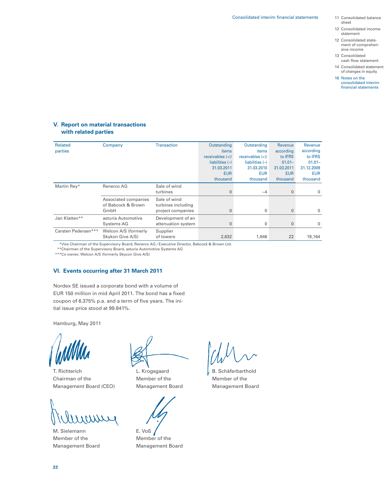- 11 Consolidated balance sheet
- 12 Consolidated income statement
- 12 Consolidated state ment of comprehensive income
- 13 Consolidated cash flow statement
- 14 Consolidated statement of changes in equity
- 16 Notes on the consolidated interim financial statements

#### **V. Report on material transactions with related parties**

| <b>Related</b><br>parties | Company                                    | <b>Transaction</b>                 | Outstanding<br>items | Outstanding<br>items | Revenue<br>according | Revenue<br>according |
|---------------------------|--------------------------------------------|------------------------------------|----------------------|----------------------|----------------------|----------------------|
|                           |                                            |                                    | receivables $(+)/$   | receivables $(+)/$   | to <b>IFRS</b>       | to <b>IFRS</b>       |
|                           |                                            |                                    | liabilities $(-)$    | liabilities $(-)$    | $01.01 -$            | $01.01 -$            |
|                           |                                            |                                    | 31.03.2011           | 31.03.2010           | 31.03.2011           | 31.12.2009           |
|                           |                                            |                                    | <b>EUR</b>           | <b>EUR</b>           | <b>EUR</b>           | <b>EUR</b>           |
|                           |                                            |                                    | thousand             | thousand             | thousand             | thousand             |
| Martin Rey*               | Renerco AG                                 | Sale of wind                       |                      |                      |                      |                      |
|                           |                                            | turbines                           |                      | $-4$                 | $\mathbf{0}$         | $\mathbf 0$          |
|                           | Associated companies<br>of Babcock & Brown | Sale of wind<br>turbines including |                      |                      |                      |                      |
|                           | GmbH                                       | project companies                  | 0                    | 0                    | $\mathbf{0}$         | $\Omega$             |
| Jan Klatten**             | asturia Automotive                         | Development of an                  |                      |                      |                      |                      |
|                           | Systems AG                                 | attenuation system                 |                      | $\mathbf{0}$         | $\Omega$             | $\mathbf 0$          |
| Carsten Pedersen***       | Welcon A/S (formerly                       | Supplier                           |                      |                      |                      |                      |
|                           | Skykon Give A/S)                           | of towers                          | 2,632                | 1,846                | 22                   | 19,164               |

\*\*\*Vice Chairman of the Supervisory Board, Renerco AG / Executive Director, Babcock & Brown Ltd.

\*\*\*Chairman of the Supervisory Board, asturia Automotive Systems AG

\*\*\*Co-owner, Welcon A/S (formerly Skycon Give A/S)

#### **VI. Events occurring after 31 March 2011**

Nordex SE issued a corporate bond with a volume of EUR 150 million in mid April 2011. The bond has a fixed coupon of 6.375% p.a. and a term of five years. The initial issue price stood at 99.841%.

Hamburg, May 2011

T. Richterich L. Krogsgaard V. B. Schäferbarthold Chairman of the Member of the Member of the Member of the Member of the Member of the Member of the Member of the Member of the Member of the Member of the Member of the Member of the Member of the Member of the Member of Management Board (CEO) Management Board Management Board



M. Sielemann E. Voß Member of the Member of the Management Board Management Board

**22**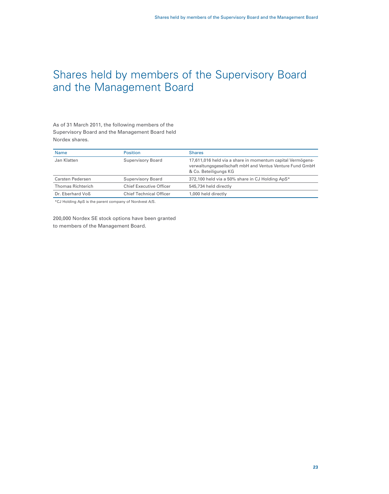### Shares held by members of the Supervisory Board and the Management Board

As of 31 March 2011, the following members of the Supervisory Board and the Management Board held Nordex shares.

| <b>Name</b>              | <b>Position</b>                | <b>Shares</b>                                                                                                                                   |
|--------------------------|--------------------------------|-------------------------------------------------------------------------------------------------------------------------------------------------|
| Jan Klatten              | Supervisory Board              | 17,611,016 held via a share in momentum capital Vermögens-<br>verwaltungsgesellschaft mbH and Ventus Venture Fund GmbH<br>& Co. Beteiligungs KG |
| Carsten Pedersen         | Supervisory Board              | 372,100 held via a 50% share in CJ Holding ApS*                                                                                                 |
| <b>Thomas Richterich</b> | <b>Chief Executive Officer</b> | 545,734 held directly                                                                                                                           |
| Dr. Eberhard Voß         | <b>Chief Technical Officer</b> | 1,000 held directly                                                                                                                             |

\*CJ Holding ApS is the parent company of Nordvest A/S.

200,000 Nordex SE stock options have been granted to members of the Management Board.